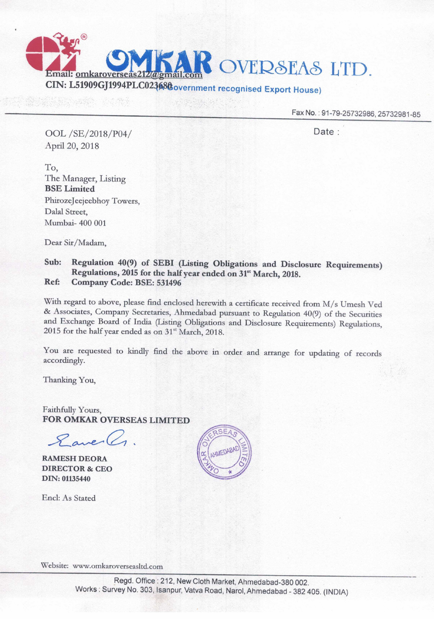Fax No.: 91-79-25732986, 25732981-85

OOL /SE/2018/P04/ Date : April 20, 2018

Email: omkarovers

OVERSEAS LTD.

To, The Manager, Listing BSE Limited Phirozejeejeebhoy Towers, Dalal Street, Mumbai— 400 001

Dear Sir/Madam,

## Sub: Regulation 40(9) of SEBI (Listing Obligations and Disclosure Requirements) Regulations, 2015 for the half year ended on 31<sup>st</sup> March, 2018. Ref: Company Code: BSE: <sup>531496</sup>

CIN: L51909GJI994PLC02408¢overnment recognised Export House)

With regard to above, please find enclosed herewith a certificate received from M/s Umesh Ved & Associates, Company Secretaries, Ahmedabad pursuant to Regulation 40(9) of the Securities and Exchange Board of India (Listing Obligations and Disclosure Requirements) Regulations, 2015 for the half year ended as on  $31<sup>st</sup>$  March, 2018.

You are requested to kindly find the above in order and arrange for updating of records accordingly.

Thanking You,

Faithfully Yours, FOR OMKAR OVERSEAS LIMITED

 $8$  avec  $(1)$ .

RAMESH DEORA DIRECTOR & CEO DIN: 01135440

Encl: As Stated



Website: www.0mkaroverseasltd.com